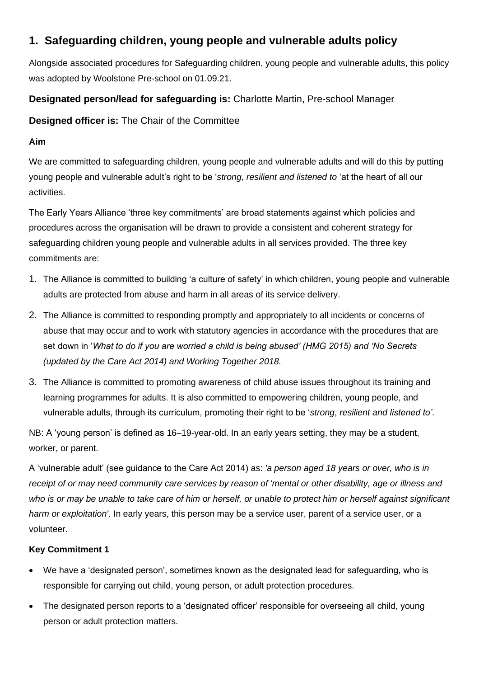# **1. Safeguarding children, young people and vulnerable adults policy**

Alongside associated procedures for Safeguarding children, young people and vulnerable adults, this policy was adopted by Woolstone Pre-school on 01.09.21.

## **Designated person/lead for safeguarding is:** Charlotte Martin, Pre-school Manager

**Designed officer is:** The Chair of the Committee

## **Aim**

We are committed to safeguarding children, young people and vulnerable adults and will do this by putting young people and vulnerable adult's right to be '*strong, resilient and listened to* 'at the heart of all our activities.

The Early Years Alliance 'three key commitments' are broad statements against which policies and procedures across the organisation will be drawn to provide a consistent and coherent strategy for safeguarding children young people and vulnerable adults in all services provided. The three key commitments are:

- 1. The Alliance is committed to building 'a culture of safety' in which children, young people and vulnerable adults are protected from abuse and harm in all areas of its service delivery.
- 2. The Alliance is committed to responding promptly and appropriately to all incidents or concerns of abuse that may occur and to work with statutory agencies in accordance with the procedures that are set down in '*What to do if you are worried a child is being abused' (HMG 2015) and 'No Secrets (updated by the Care Act 2014) and Working Together 2018.*
- 3. The Alliance is committed to promoting awareness of child abuse issues throughout its training and learning programmes for adults. It is also committed to empowering children, young people, and vulnerable adults, through its curriculum, promoting their right to be '*strong*, *resilient and listened to'*.

NB: A 'young person' is defined as 16–19-year-old. In an early years setting, they may be a student, worker, or parent.

A 'vulnerable adult' (see guidance to the Care Act 2014) as: *'a person aged 18 years or over, who is in receipt of or may need community care services by reason of 'mental or other disability, age or illness and*  who is or may be unable to take care of him or herself, or unable to protect him or herself against significant *harm or exploitation'*. In early years, this person may be a service user, parent of a service user, or a volunteer.

## **Key Commitment 1**

- We have a 'designated person', sometimes known as the designated lead for safeguarding, who is responsible for carrying out child, young person, or adult protection procedures.
- The designated person reports to a 'designated officer' responsible for overseeing all child, young person or adult protection matters.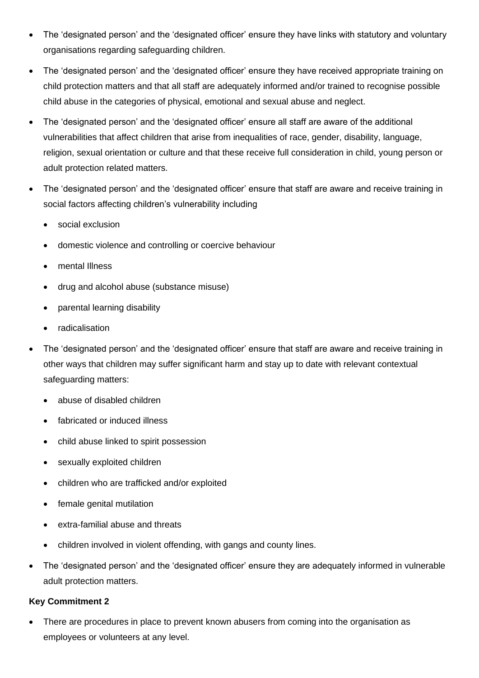- The 'designated person' and the 'designated officer' ensure they have links with statutory and voluntary organisations regarding safeguarding children.
- The 'designated person' and the 'designated officer' ensure they have received appropriate training on child protection matters and that all staff are adequately informed and/or trained to recognise possible child abuse in the categories of physical, emotional and sexual abuse and neglect.
- The 'designated person' and the 'designated officer' ensure all staff are aware of the additional vulnerabilities that affect children that arise from inequalities of race, gender, disability, language, religion, sexual orientation or culture and that these receive full consideration in child, young person or adult protection related matters.
- The 'designated person' and the 'designated officer' ensure that staff are aware and receive training in social factors affecting children's vulnerability including
	- social exclusion
	- domestic violence and controlling or coercive behaviour
	- mental Illness
	- drug and alcohol abuse (substance misuse)
	- parental learning disability
	- **radicalisation**
- The 'designated person' and the 'designated officer' ensure that staff are aware and receive training in other ways that children may suffer significant harm and stay up to date with relevant contextual safeguarding matters:
	- abuse of disabled children
	- fabricated or induced illness
	- child abuse linked to spirit possession
	- sexually exploited children
	- children who are trafficked and/or exploited
	- female genital mutilation
	- extra-familial abuse and threats
	- children involved in violent offending, with gangs and county lines.
- The 'designated person' and the 'designated officer' ensure they are adequately informed in vulnerable adult protection matters.

### **Key Commitment 2**

There are procedures in place to prevent known abusers from coming into the organisation as employees or volunteers at any level.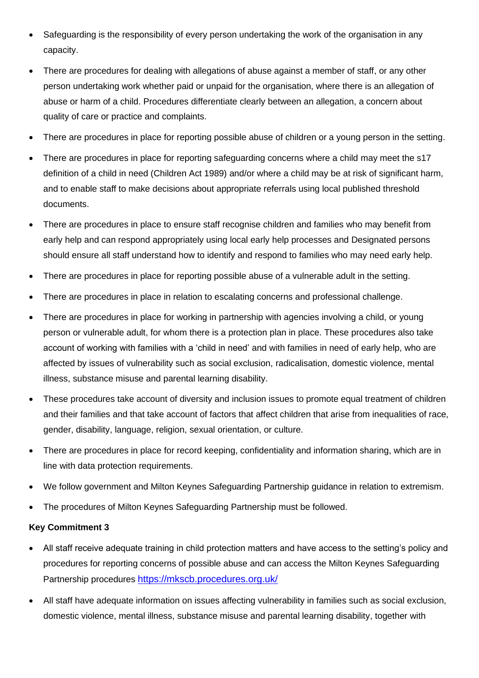- Safeguarding is the responsibility of every person undertaking the work of the organisation in any capacity.
- There are procedures for dealing with allegations of abuse against a member of staff, or any other person undertaking work whether paid or unpaid for the organisation, where there is an allegation of abuse or harm of a child. Procedures differentiate clearly between an allegation, a concern about quality of care or practice and complaints.
- There are procedures in place for reporting possible abuse of children or a young person in the setting.
- There are procedures in place for reporting safeguarding concerns where a child may meet the s17 definition of a child in need (Children Act 1989) and/or where a child may be at risk of significant harm, and to enable staff to make decisions about appropriate referrals using local published threshold documents.
- There are procedures in place to ensure staff recognise children and families who may benefit from early help and can respond appropriately using local early help processes and Designated persons should ensure all staff understand how to identify and respond to families who may need early help.
- There are procedures in place for reporting possible abuse of a vulnerable adult in the setting.
- There are procedures in place in relation to escalating concerns and professional challenge.
- There are procedures in place for working in partnership with agencies involving a child, or young person or vulnerable adult, for whom there is a protection plan in place. These procedures also take account of working with families with a 'child in need' and with families in need of early help, who are affected by issues of vulnerability such as social exclusion, radicalisation, domestic violence, mental illness, substance misuse and parental learning disability.
- These procedures take account of diversity and inclusion issues to promote equal treatment of children and their families and that take account of factors that affect children that arise from inequalities of race, gender, disability, language, religion, sexual orientation, or culture.
- There are procedures in place for record keeping, confidentiality and information sharing, which are in line with data protection requirements.
- We follow government and Milton Keynes Safeguarding Partnership guidance in relation to extremism.
- The procedures of Milton Keynes Safeguarding Partnership must be followed.

### **Key Commitment 3**

- All staff receive adequate training in child protection matters and have access to the setting's policy and procedures for reporting concerns of possible abuse and can access the Milton Keynes Safeguarding Partnership procedures <https://mkscb.procedures.org.uk/>
- All staff have adequate information on issues affecting vulnerability in families such as social exclusion, domestic violence, mental illness, substance misuse and parental learning disability, together with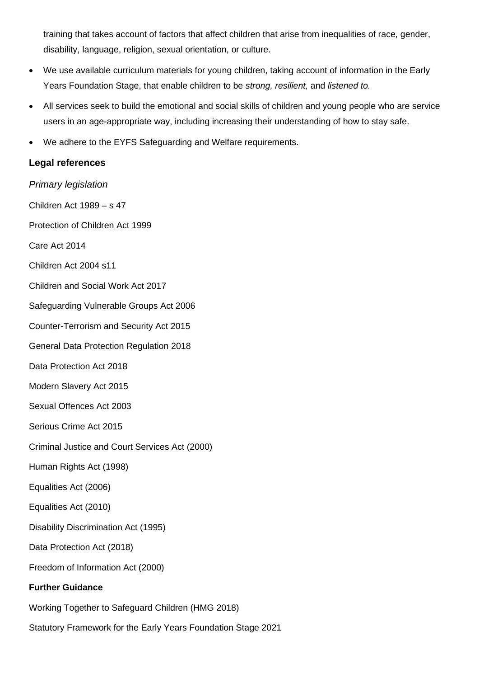training that takes account of factors that affect children that arise from inequalities of race, gender, disability, language, religion, sexual orientation, or culture.

- We use available curriculum materials for young children, taking account of information in the Early Years Foundation Stage, that enable children to be *strong, resilient,* and *listened to.*
- All services seek to build the emotional and social skills of children and young people who are service users in an age-appropriate way, including increasing their understanding of how to stay safe.
- We adhere to the EYFS Safeguarding and Welfare requirements.

## **Legal references**

*Primary legislation* Children Act 1989 – s 47 Protection of Children Act 1999 Care Act 2014 Children Act 2004 s11 Children and Social Work Act 2017 Safeguarding Vulnerable Groups Act 2006 Counter-Terrorism and Security Act 2015 General Data Protection Regulation 2018 Data Protection Act 2018 Modern Slavery Act 2015 Sexual Offences Act 2003 Serious Crime Act 2015 Criminal Justice and Court Services Act (2000) Human Rights Act (1998) Equalities Act (2006) Equalities Act (2010) Disability Discrimination Act (1995) Data Protection Act (2018) Freedom of Information Act (2000) **Further Guidance**  Working Together to Safeguard Children (HMG 2018) Statutory Framework for the Early Years Foundation Stage 2021